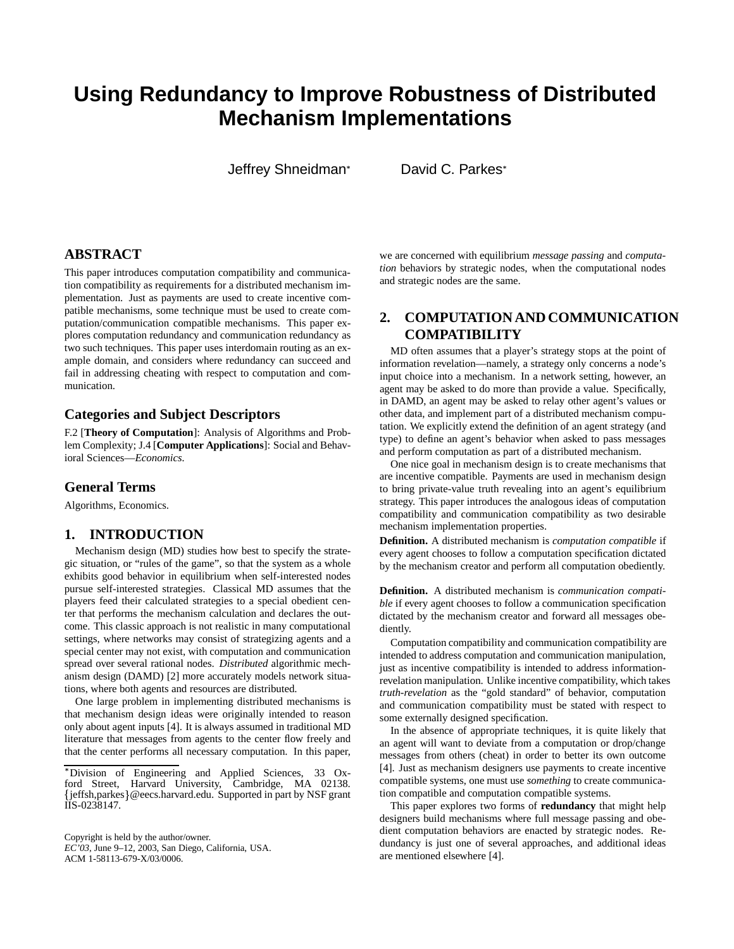# **Using Redundancy to Improve Robustness of Distributed Mechanism Implementations**

Jeffrey Shneidman<sup>\*</sup>

David C. Parkes

# **ABSTRACT**

This paper introduces computation compatibility and communication compatibility as requirements for a distributed mechanism implementation. Just as payments are used to create incentive compatible mechanisms, some technique must be used to create computation/communication compatible mechanisms. This paper explores computation redundancy and communication redundancy as two such techniques. This paper uses interdomain routing as an example domain, and considers where redundancy can succeed and fail in addressing cheating with respect to computation and communication.

## **Categories and Subject Descriptors**

F.2 [**Theory of Computation**]: Analysis of Algorithms and Problem Complexity; J.4 [**Computer Applications**]: Social and Behavioral Sciences—*Economics.*

## **General Terms**

Algorithms, Economics.

### **1. INTRODUCTION**

Mechanism design (MD) studies how best to specify the strategic situation, or "rules of the game", so that the system as a whole exhibits good behavior in equilibrium when self-interested nodes pursue self-interested strategies. Classical MD assumes that the players feed their calculated strategies to a special obedient center that performs the mechanism calculation and declares the outcome. This classic approach is not realistic in many computational settings, where networks may consist of strategizing agents and a special center may not exist, with computation and communication spread over several rational nodes. *Distributed* algorithmic mechanism design (DAMD) [2] more accurately models network situations, where both agents and resources are distributed.

One large problem in implementing distributed mechanisms is that mechanism design ideas were originally intended to reason only about agent inputs [4]. It is always assumed in traditional MD literature that messages from agents to the center flow freely and that the center performs all necessary computation. In this paper,

 Division of Engineering and Applied Sciences, 33 Oxford Street, Harvard University, Cambridge, MA 02138. {jeffsh,parkes} @eecs.harvard.edu. Supported in part by NSF grant IIS-0238147.

Copyright is held by the author/owner. *EC'03,* June 9–12, 2003, San Diego, California, USA. ACM 1-58113-679-X/03/0006.

we are concerned with equilibrium *message passing* and *computation* behaviors by strategic nodes, when the computational nodes and strategic nodes are the same.

## **2. COMPUTATION AND COMMUNICATION COMPATIBILITY**

MD often assumes that a player's strategy stops at the point of information revelation—namely, a strategy only concerns a node's input choice into a mechanism. In a network setting, however, an agent may be asked to do more than provide a value. Specifically, in DAMD, an agent may be asked to relay other agent's values or other data, and implement part of a distributed mechanism computation. We explicitly extend the definition of an agent strategy (and type) to define an agent's behavior when asked to pass messages and perform computation as part of a distributed mechanism.

One nice goal in mechanism design is to create mechanisms that are incentive compatible. Payments are used in mechanism design to bring private-value truth revealing into an agent's equilibrium strategy. This paper introduces the analogous ideas of computation compatibility and communication compatibility as two desirable mechanism implementation properties.

**Definition.** A distributed mechanism is *computation compatible* if every agent chooses to follow a computation specification dictated by the mechanism creator and perform all computation obediently.

**Definition.** A distributed mechanism is *communication compatible* if every agent chooses to follow a communication specification dictated by the mechanism creator and forward all messages obediently.

Computation compatibility and communication compatibility are intended to address computation and communication manipulation, just as incentive compatibility is intended to address informationrevelation manipulation. Unlike incentive compatibility, which takes *truth-revelation* as the "gold standard" of behavior, computation and communication compatibility must be stated with respect to some externally designed specification.

In the absence of appropriate techniques, it is quite likely that an agent will want to deviate from a computation or drop/change messages from others (cheat) in order to better its own outcome [4]. Just as mechanism designers use payments to create incentive compatible systems, one must use *something* to create communication compatible and computation compatible systems.

This paper explores two forms of **redundancy** that might help designers build mechanisms where full message passing and obedient computation behaviors are enacted by strategic nodes. Redundancy is just one of several approaches, and additional ideas are mentioned elsewhere [4].